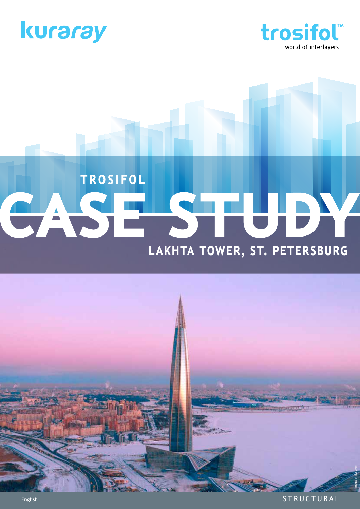



# TROSIFOL CASH Lakhta Tower, St. Petersburg



**STRUCTURAL**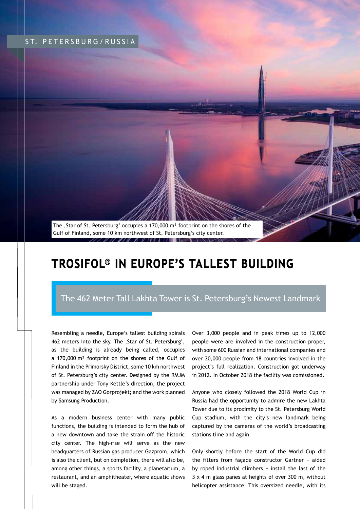# ST. PETERSBURG/RUSSIA



# Trosifol® in Europe's Tallest Building

# The 462 Meter Tall Lakhta Tower is St. Petersburg's Newest Landmark

Resembling a needle, Europe's tallest building spirals 462 meters into the sky. The ,Star of St. Petersburg', as the building is already being called, occupies a 170,000 m² footprint on the shores of the Gulf of Finland in the Primorsky District, some 10 km northwest of St. Petersburg's city center. Designed by the RMJM partnership under Tony Kettle's direction, the project was managed by ZAO Gorprojekt; and the work planned by Samsung Production.

As a modern business center with many public functions, the building is intended to form the hub of a new downtown and take the strain off the historic city center. The high-rise will serve as the new headquarters of Russian gas producer Gazprom, which is also the client, but on completion, there will also be, among other things, a sports facility, a planetarium, a restaurant, and an amphitheater, where aquatic shows will be staged.

Over 3,000 people and in peak times up to 12,000 people were are involved in the construction proper, with some 600 Russian and international companies and over 20,000 people from 18 countries involved in the project's full realization. Construction got underway in 2012. In October 2018 the facility was comissioned.

Anyone who closely followed the 2018 World Cup in Russia had the opportunity to admire the new Lakhta Tower due to its proximity to the St. Petersburg World Cup stadium, with the city's new landmark being captured by the cameras of the world's broadcasting stations time and again.

Only shortly before the start of the World Cup did the fitters from façade constructor Gartner − aided by roped industrial climbers − install the last of the 3 x 4 m glass panes at heights of over 300 m, without helicopter assistance. This oversized needle, with its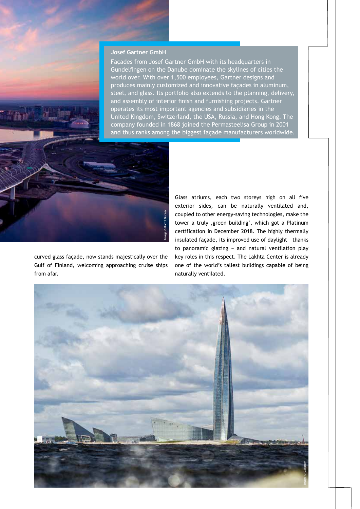## **Josef Gartner GmbH**

Façades from Josef Gartner GmbH with its headquarters in Gundelfingen on the Danube dominate the skylines of cities the world over. With over 1,500 employees, Gartner designs and produces mainly customized and innovative façades in aluminum, steel, and glass. Its portfolio also extends to the planning, delivery, and assembly of interior finish and furnishing projects. Gartner operates its most important agencies and subsidiaries in the United Kingdom, Switzerland, the USA, Russia, and Hong Kong. The company founded in 1868 joined the Permasteelisa Group in 2001 and thus ranks among the biggest façade manufacturers worldwide.



curved glass façade, now stands majestically over the Gulf of Finland, welcoming approaching cruise ships from afar.

Glass atriums, each two storeys high on all five exterior sides, can be naturally ventilated and, coupled to other energy-saving technologies, make the tower a truly , green building', which got a Platinum certification in December 2018. The highly thermally insulated façade, its improved use of daylight – thanks to panoramic glazing − and natural ventilation play key roles in this respect. The Lakhta Center is already one of the world's tallest buildings capable of being naturally ventilated.

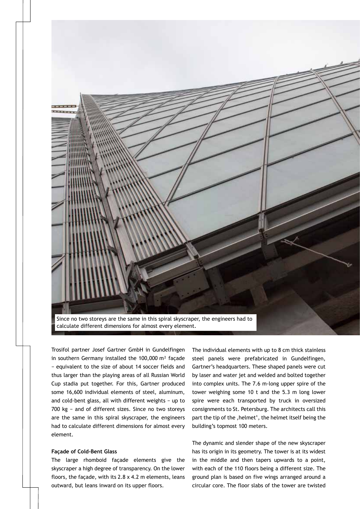

Trosifol partner Josef Gartner GmbH in Gundelfingen in southern Germany installed the 100,000 m² façade − equivalent to the size of about 14 soccer fields and thus larger than the playing areas of all Russian World Cup stadia put together. For this, Gartner produced some 16,600 individual elements of steel, aluminum, and cold-bent glass, all with different weights − up to 700 kg − and of different sizes. Since no two storeys are the same in this spiral skyscraper, the engineers had to calculate different dimensions for almost every element.

### **Façade of Cold-Bent Glass**

The large rhomboid façade elements give the skyscraper a high degree of transparency. On the lower floors, the façade, with its 2.8 x 4.2 m elements, leans outward, but leans inward on its upper floors.

The individual elements with up to 8 cm thick stainless steel panels were prefabricated in Gundelfingen, Gartner's headquarters. These shaped panels were cut by laser and water jet and welded and bolted together into complex units. The 7.6 m-long upper spire of the tower weighing some 10 t and the 5.3 m long lower spire were each transported by truck in oversized consignments to St. Petersburg. The architects call this part the tip of the ,helmet', the helmet itself being the building's topmost 100 meters.

The dynamic and slender shape of the new skyscraper has its origin in its geometry. The tower is at its widest in the middle and then tapers upwards to a point, with each of the 110 floors being a different size. The ground plan is based on five wings arranged around a circular core. The floor slabs of the tower are twisted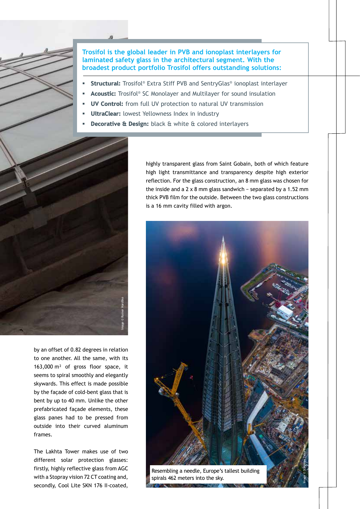

- Structural: Trosifol® Extra Stiff PVB and SentryGlas® ionoplast interlayer
- Acoustic: Trosifol® SC Monolayer and Multilayer for sound insulation
- UV Control: from full UV protection to natural UV transmission
- UltraClear: lowest Yellowness Index in industry
- Decorative & Design: black & white & colored interlayers



by an offset of 0.82 degrees in relation to one another. All the same, with its 163,000 m² of gross floor space, it seems to spiral smoothly and elegantly skywards. This effect is made possible by the façade of cold-bent glass that is bent by up to 40 mm. Unlike the other prefabricated façade elements, these glass panes had to be pressed from outside into their curved aluminum frames.

The Lakhta Tower makes use of two different solar protection glasses: firstly, highly reflective glass from AGC with a Stopray vision 72 CT coating and, secondly, Cool Lite SKN 176 II-coated,

highly transparent glass from Saint Gobain, both of which feature high light transmittance and transparency despite high exterior reflection. For the glass construction, an 8 mm glass was chosen for the inside and a 2 x 8 mm glass sandwich − separated by a 1.52 mm thick PVB film for the outside. Between the two glass constructions is a 16 mm cavity filled with argon.

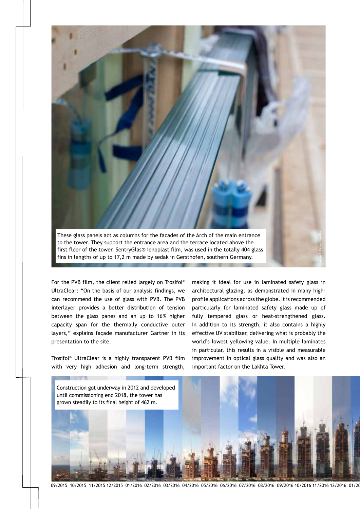

For the PVB film, the client relied largely on Trosifol® UltraClear: "On the basis of our analysis findings, we can recommend the use of glass with PVB. The PVB interlayer provides a better distribution of tension between the glass panes and an up to 16% higher capacity span for the thermally conductive outer layers," explains façade manufacturer Gartner in its presentation to the site.

Trosifol® UltraClear is a highly transparent PVB film with very high adhesion and long-term strength, making it ideal for use in laminated safety glass in architectural glazing, as demonstrated in many highprofile applications across the globe. It is recommended particularly for laminated safety glass made up of fully tempered glass or heat-strengthened glass. In addition to its strength, it also contains a highly effective UV stabilizer, delivering what is probably the world's lowest yellowing value. In multiple laminates in particular, this results in a visible and measurable improvement in optical glass quality and was also an important factor on the Lakhta Tower.

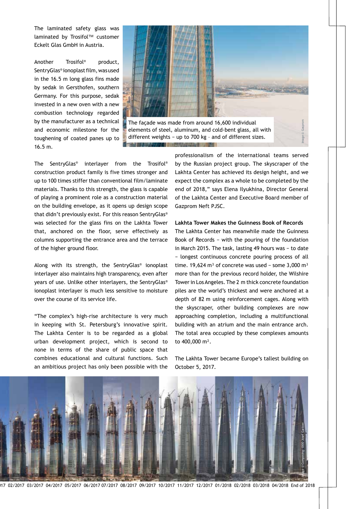The laminated safety glass was laminated by Trosifol™ customer Eckelt Glas GmbH in Austria.

Another Trosifol® product, SentryGlas® ionoplast film, was used in the 16.5 m long glass fins made by sedak in Gersthofen, southern Germany. For this purpose, sedak invested in a new oven with a new combustion technology regarded by the manufacturer as a technical and economic milestone for the toughening of coated panes up to 16.5 m.



elements of steel, aluminum, and cold-bent glass, all with different weights − up to 700 kg – and of different sizes.

The SentryGlas® interlayer from the Trosifol® construction product family is five times stronger and up to 100 times stiffer than conventional film/laminate materials. Thanks to this strength, the glass is capable of playing a prominent role as a construction material on the building envelope, as it opens up design scope that didn't previously exist. For this reason SentryGlas® was selected for the glass fins on the Lakhta Tower that, anchored on the floor, serve effectively as columns supporting the entrance area and the terrace of the higher ground floor.

Along with its strength, the SentryGlas® ionoplast interlayer also maintains high transparency, even after years of use. Unlike other interlayers, the SentryGlas® ionoplast interlayer is much less sensitive to moisture over the course of its service life.

"The complex's high-rise architecture is very much in keeping with St. Petersburg's innovative spirit. The Lakhta Center is to be regarded as a global urban development project, which is second to none in terms of the share of public space that combines educational and cultural functions. Such an ambitious project has only been possible with the

professionalism of the international teams served by the Russian project group. The skyscraper of the Lakhta Center has achieved its design height, and we expect the complex as a whole to be completed by the end of 2018," says Elena Ilyukhina, Director General of the Lakhta Center and Executive Board member of Gazprom Neft PJSC.

### **Lakhta Tower Makes the Guinness Book of Records**

The Lakhta Center has meanwhile made the Guinness Book of Records − with the pouring of the foundation in March 2015. The task, lasting 49 hours was − to date − longest continuous concrete pouring process of all time. 19,624 m<sup>3</sup> of concrete was used – some 3,000 m<sup>3</sup> more than for the previous record holder, the Wilshire Tower in Los Angeles. The 2 m thick concrete foundation piles are the world's thickest and were anchored at a depth of 82 m using reinforcement cages. Along with the skyscraper, other building complexes are now approaching completion, including a multifunctional building with an atrium and the main entrance arch. The total area occupied by these complexes amounts to 400,000 m².

The Lakhta Tower became Europe's tallest building on October 5, 2017.